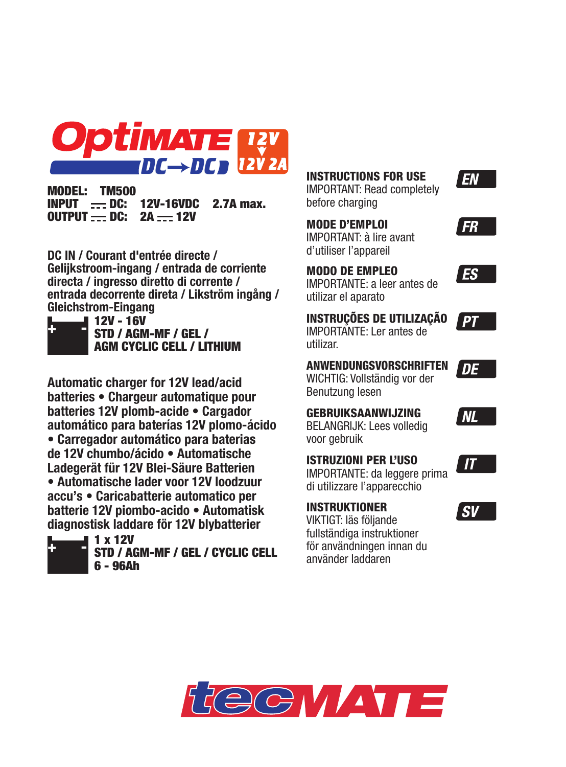

MODEL: TM500  $INPUT$  - DC: 12V-16VDC 2.7A max.  $O$ UTPUT - DC:  $2A - 12V$ 

**DC IN / Courant d'entrée directe / Gelijkstroom-ingang / entrada de corriente directa / ingresso diretto di corrente / entrada decorrente direta / Likström ingång / Gleichstrom-Eingang** 



12V - 16V STD / AGM-MF / GEL / AGM CYCLIC CELL / LITHIUM

**Automatic charger for 12V lead/acid batteries • Chargeur automatique pour batteries 12V plomb-acide • Cargador automático para baterías 12V plomo-ácido • Carregador automático para baterias de 12V chumbo/ácido • Automatische Ladegerät für 12V Blei-Säure Batterien • Automatische lader voor 12V loodzuur accu's • Caricabatterie automatico per batterie 12V piombo-acido • Automatisk diagnostisk laddare för 12V blybatterier**



STD / AGM-MF / GEL / CYCLIC CELL 6 - 96Ah

**INSTRUCTIONS FOR USE** IMPORTANT: Read completely before charging **MODE D'EMPLOI**

FR

EN

IMPORTANT: à lire avant d'utiliser l'appareil

**MODO DE EMPLEO** IMPORTANTE: a leer antes de utilizar el aparato



DE

**NL** 

**ES** 

**INSTRUÇÕES DE UTILIZAÇÃO** IMPORTANTE: Ler antes de utilizar.

**ANWENDUNGSVORSCHRIFTEN** WICHTIG: Vollständig vor der Benutzung lesen

**GEBRUIKSAANWIJZING** BELANGRIJK: Lees volledig voor gebruik

**ISTRUZIONI PER L'USO**

IMPORTANTE: da leggere prima di utilizzare l'apparecchio

VIKTIGT: läs följande fullständiga instruktioner för användningen innan du använder laddaren

**INSTRUKTIONER**





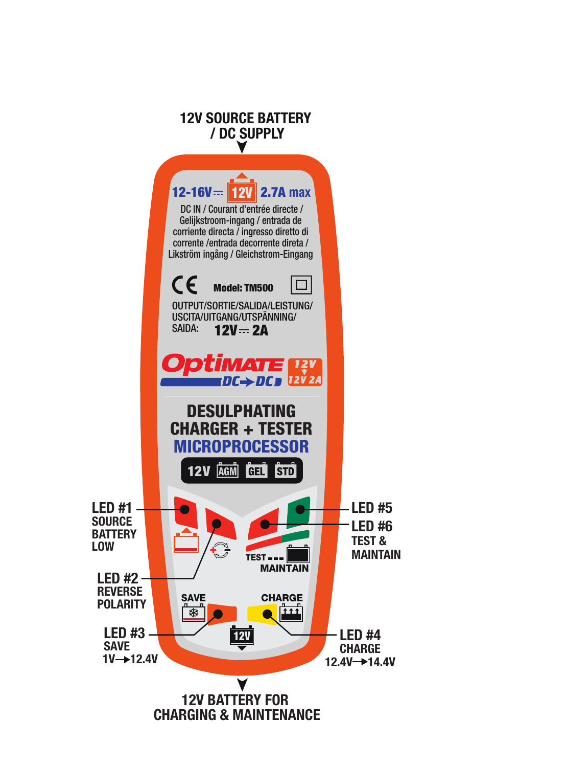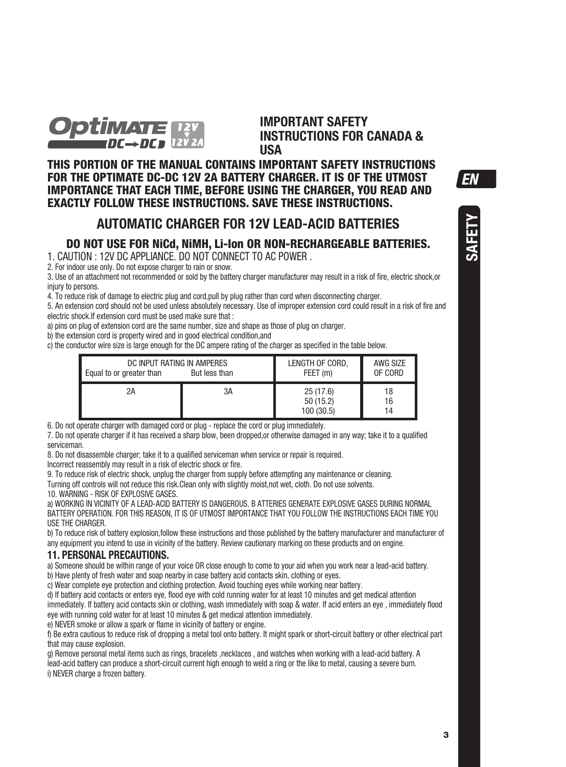

**IMPORTANT SAFETY INSTRUCTIONS FOR CANADA & USA**

**THIS PORTION OF THE MANUAL CONTAINS IMPORTANT SAFETY INSTRUCTIONS FOR THE OPTIMATE DC-DC 12V 2A BATTERY CHARGER. IT IS OF THE UTMOST IMPORTANCE THAT EACH TIME, BEFORE USING THE CHARGER, YOU READ AND EXACTLY FOLLOW THESE INSTRUCTIONS. SAVE THESE INSTRUCTIONS.** 

## **AUTOMATIC CHARGER FOR 12V LEAD-ACID BATTERIES**

## **DO NOT USE FOR NiCd, NiMH, Li-Ion OR NON-RECHARGEABLE BATTERIES.**

1. CAUTION : 12V DC APPLIANCE. DO NOT CONNECT TO AC POWER .

2. For indoor use only. Do not expose charger to rain or snow.

3. Use of an attachment not recommended or sold by the battery charger manufacturer may result in a risk of fire, electric shock,or injury to persons.

4. To reduce risk of damage to electric plug and cord,pull by plug rather than cord when disconnecting charger.

5. An extension cord should not be used unless absolutely necessary. Use of improper extension cord could result in a risk of fire and electric shock. If extension cord must be used make sure that :

a) pins on plug of extension cord are the same number, size and shape as those of plug on charger.

b) the extension cord is property wired and in good electrical condition,and

c) the conductor wire size is large enough for the DC ampere rating of the charger as specified in the table below.

| DC INPUT RATING IN AMPERES<br>Equal to or greater than<br>But less than |    | LENGTH OF CORD.<br>FEET (m)        | AWG SIZE<br>OF CORD |
|-------------------------------------------------------------------------|----|------------------------------------|---------------------|
| 2A                                                                      | 3A | 25(17.6)<br>50(15.2)<br>100 (30.5) | 18<br>16<br>14      |

6. Do not operate charger with damaged cord or plug - replace the cord or plug immediately.

7. Do not operate charger if it has received a sharp blow, been dropped,or otherwise damaged in any way; take it to a qualified serviceman.

8. Do not disassemble charger; take it to a qualified serviceman when service or repair is required.

Incorrect reassembly may result in a risk of electric shock or fire.

9. To reduce risk of electric shock, unplug the charger from supply before attempting any maintenance or cleaning.

Turning off controls will not reduce this risk.Clean only with slightly moist,not wet, cloth. Do not use solvents.

10. WARNING - RISK OF EXPLOSIVE GASES.

a) WORKING IN VICINITY OF A LEAD-ACID BATTERY IS DANGEROUS. B ATTERIES GENERATE EXPLOSIVE GASES DURING NORMAL BATTERY OPERATION. FOR THIS REASON, IT IS OF UTMOST IMPORTANCE THAT YOU FOLLOW THE INSTRUCTIONS EACH TIME YOU USE THE CHARGER.

b) To reduce risk of battery explosion,follow these instructions and those published by the battery manufacturer and manufacturer of any equipment you intend to use in vicinity of the battery. Review cautionary marking on these products and on engine.

## **11. PERSONAL PRECAUTIONS.**

a) Someone should be within range of your voice OR close enough to come to your aid when you work near a lead-acid battery.

b) Have plenty of fresh water and soap nearby in case battery acid contacts skin, clothing or eyes.

c) Wear complete eye protection and clothing protection. Avoid touching eyes while working near battery.

d) If battery acid contacts or enters eye, flood eye with cold running water for at least 10 minutes and get medical attention immediately. If battery acid contacts skin or clothing, wash immediately with soap & water. If acid enters an eye, immediately flood eye with running cold water for at least 10 minutes & get medical attention immediately.

e) NEVER smoke or allow a spark or flame in vicinity of battery or engine.

f) Be extra cautious to reduce risk of dropping a metal tool onto battery. It might spark or short-circuit battery or other electrical part that may cause explosion.

g) Remove personal metal items such as rings, bracelets ,necklaces , and watches when working with a lead-acid battery. A lead-acid battery can produce a short-circuit current high enough to weld a ring or the like to metal, causing a severe burn. i) NEVER charge a frozen battery.

EN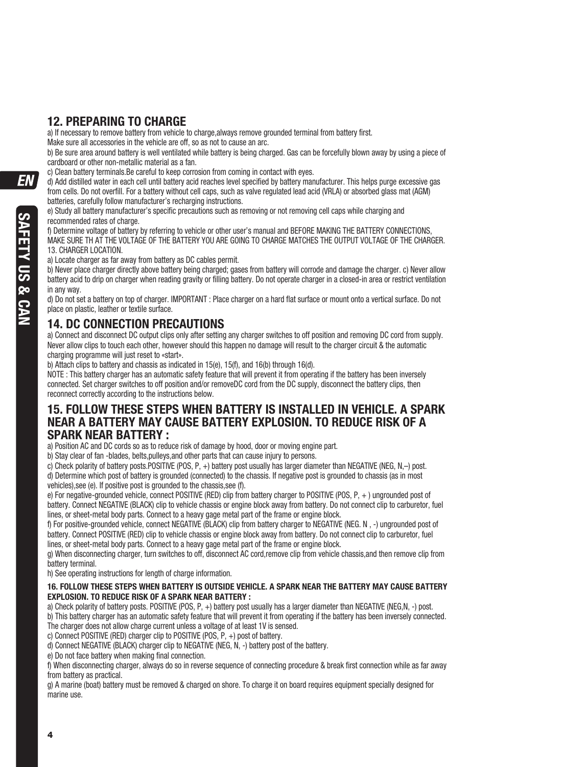# **12. PREPARING TO CHARGE**

a) If necessary to remove battery from vehicle to charge, always remove grounded terminal from battery first.

Make sure all accessories in the vehicle are off, so as not to cause an arc.

b) Be sure area around battery is well ventilated while battery is being charged. Gas can be forcefully blown away by using a piece of cardboard or other non-metallic material as a fan.

c) Clean battery terminals.Be careful to keep corrosion from coming in contact with eyes.

d) Add distilled water in each cell until battery acid reaches level specified by battery manufacturer. This helps purge excessive gas from cells. Do not overfill. For a battery without cell caps, such as valve regulated lead acid (VRLA) or absorbed glass mat (AGM) batteries, carefully follow manufacturer's recharging instructions.

e) Study all battery manufacturer's specific precautions such as removing or not removing cell caps while charging and recommended rates of charge.

f) Determine voltage of battery by referring to vehicle or other user's manual and BEFORE MAKING THE BATTERY CONNECTIONS, MAKE SURE TH AT THE VOLTAGE OF THE BATTERY YOU ARE GOING TO CHARGE MATCHES THE OUTPUT VOLTAGE OF THE CHARGER. 13. CHARGER LOCATION.

a) Locate charger as far away from battery as DC cables permit.

b) Never place charger directly above battery being charged; gases from battery will corrode and damage the charger, c) Never allow battery acid to drip on charger when reading gravity or filling battery. Do not operate charger in a closed-in area or restrict ventilation in any way.

d) Do not set a battery on top of charger. IMPORTANT : Place charger on a hard flat surface or mount onto a vertical surface. Do not place on plastic, leather or textile surface.

# **14. DC CONNECTION PRECAUTIONS**

a) Connect and disconnect DC output clips only after setting any charger switches to off position and removing DC cord from supply. Never allow clips to touch each other, however should this happen no damage will result to the charger circuit & the automatic charging programme will just reset to «start».

b) Attach clips to battery and chassis as indicated in 15(e), 15(f), and 16(b) through 16(d).

NOTE : This battery charger has an automatic safety feature that will prevent it from operating if the battery has been inversely connected. Set charger switches to off position and/or removeDC cord from the DC supply, disconnect the battery clips, then reconnect correctly according to the instructions below.

## **15. FOLLOW THESE STEPS WHEN BATTERY IS INSTALLED IN VEHICLE. A SPARK NEAR A BATTERY MAY CAUSE BATTERY EXPLOSION. TO REDUCE RISK OF A SPARK NEAR BATTERY :**

a) Position AC and DC cords so as to reduce risk of damage by hood, door or moving engine part.

b) Stay clear of fan -blades, belts pulleys and other parts that can cause injury to persons.

c) Check polarity of battery posts POSITIVE (POS, P, +) battery post usually has larger diameter than NEGATIVE (NEG, N–) post. d) Determine which post of battery is grounded (connected) to the chassis. If negative post is grounded to chassis (as in most vehicles),see (e). If positive post is grounded to the chassis,see (f).

e) For negative-grounded vehicle, connect POSITIVE (RED) clip from battery charger to POSITIVE (POS, P, +) ungrounded post of battery. Connect NEGATIVE (BLACK) clip to vehicle chassis or engine block away from battery. Do not connect clip to carburetor, fuel lines, or sheet-metal body parts. Connect to a heavy gage metal part of the frame or engine block.

f) For positive-grounded vehicle, connect NEGATIVE (BLACK) clip from battery charger to NEGATIVE (NEG, N, -) ungrounded post of battery. Connect POSITIVE (RED) clip to vehicle chassis or engine block away from battery. Do not connect clip to carburetor, fuel lines, or sheet-metal body parts. Connect to a heavy gage metal part of the frame or engine block.

g) When disconnecting charger, turn switches to off, disconnect AC cord,remove clip from vehicle chassis,and then remove clip from battery terminal.

h) See operating instructions for length of charge information.

### **16. FOLLOW THESE STEPS WHEN BATTERY IS OUTSIDE VEHICLE. A SPARK NEAR THE BATTERY MAY CAUSE BATTERY EXPLOSION. TO REDUCE RISK OF A SPARK NEAR BATTERY :**

a) Check polarity of battery posts. POSITIVE (POS, P, +) battery post usually has a larger diameter than NEGATIVE (NEG,N, -) post. b) This battery charger has an automatic safety feature that will prevent it from operating if the battery has been inversely connected.

The charger does not allow charge current unless a voltage of at least 1V is sensed.

c) Connect POSITIVE (RED) charger clip to POSITIVE (POS, P, +) post of battery.

d) Connect NEGATIVE (BLACK) charger clip to NEGATIVE (NEG, N, -) battery post of the battery.

e) Do not face battery when making final connection.

f) When disconnecting charger, always do so in reverse sequence of connecting procedure & break first connection while as far away from battery as practical.

g) A marine (boat) battery must be removed & charged on shore. To charge it on board requires equipment specially designed for marine use.

**FN**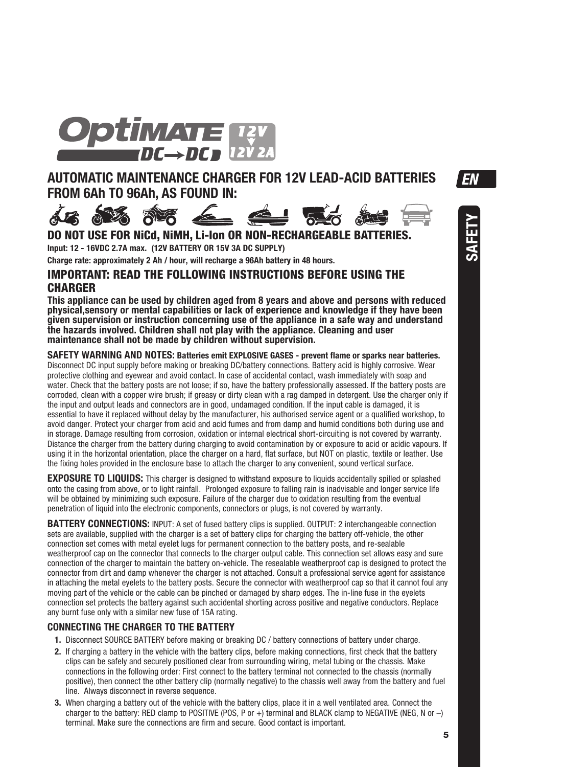

# **AUTOMATIC MAINTENANCE CHARGER FOR 12V LEAD-ACID BATTERIES FROM 6Ah TO 96Ah, AS FOUND IN:**



**SAFETY**



**DO NOT USE FOR NiCd, NiMH, Li-Ion OR NON-RECHARGEABLE BATT Input: 12 - 16VDC 2.7A max. (12V BATTERY OR 15V 3A DC SUPPLY)**

**Charge rate: approximately 2 Ah / hour, will recharge a 96Ah battery in 48 hours.** 

## **IMPORTANT: READ THE FOLLOWING INSTRUCTIONS BEFORE USING THE CHARGER**

**This appliance can be used by children aged from 8 years and above and persons with reduced physical,sensory or mental capabilities or lack of experience and knowledge if they have been given supervision or instruction concerning use of the appliance in a safe way and understand the hazards involved. Children shall not play with the appliance. Cleaning and user maintenance shall not be made by children without supervision.**

**SAFETY WARNING AND NOTES: Batteries emit EXPLOSIVE GASES - prevent flame or sparks near batteries.**  Disconnect DC input supply before making or breaking DC/battery connections. Battery acid is highly corrosive. Wear protective clothing and eyewear and avoid contact. In case of accidental contact, wash immediately with soap and water. Check that the battery posts are not loose; if so, have the battery professionally assessed. If the battery posts are corroded, clean with a copper wire brush; if greasy or dirty clean with a rag damped in detergent. Use the charger only if the input and output leads and connectors are in good, undamaged condition. If the input cable is damaged, it is essential to have it replaced without delay by the manufacturer, his authorised service agent or a qualified workshop, to avoid danger. Protect your charger from acid and acid fumes and from damp and humid conditions both during use and in storage. Damage resulting from corrosion, oxidation or internal electrical short-circuiting is not covered by warranty. Distance the charger from the battery during charging to avoid contamination by or exposure to acid or acidic vapours. If using it in the horizontal orientation, place the charger on a hard, flat surface, but NOT on plastic, textile or leather. Use the fixing holes provided in the enclosure base to attach the charger to any convenient, sound vertical surface.

**EXPOSURE TO LIQUIDS:** This charger is designed to withstand exposure to liquids accidentally spilled or splashed onto the casing from above, or to light rainfall. Prolonged exposure to falling rain is inadvisable and longer service life will be obtained by minimizing such exposure. Failure of the charger due to oxidation resulting from the eventual penetration of liquid into the electronic components, connectors or plugs, is not covered by warranty.

**BATTERY CONNECTIONS:** INPUT: A set of fused battery clips is supplied. OUTPUT: 2 interchangeable connection sets are available, supplied with the charger is a set of battery clips for charging the battery off-vehicle, the other connection set comes with metal eyelet lugs for permanent connection to the battery posts, and re-sealable weatherproof cap on the connector that connects to the charger output cable. This connection set allows easy and sure connection of the charger to maintain the battery on-vehicle. The resealable weatherproof cap is designed to protect the connector from dirt and damp whenever the charger is not attached. Consult a professional service agent for assistance in attaching the metal eyelets to the battery posts. Secure the connector with weatherproof cap so that it cannot foul any moving part of the vehicle or the cable can be pinched or damaged by sharp edges. The in-line fuse in the eyelets connection set protects the battery against such accidental shorting across positive and negative conductors. Replace any burnt fuse only with a similar new fuse of 15A rating.

## **CONNECTING THE CHARGER TO THE BATTERY**

- **1.** Disconnect SOURCE BATTERY before making or breaking DC / battery connections of battery under charge.
- **2.** If charging a battery in the vehicle with the battery clips, before making connections, first check that the battery clips can be safely and securely positioned clear from surrounding wiring, metal tubing or the chassis. Make connections in the following order: First connect to the battery terminal not connected to the chassis (normally positive), then connect the other battery clip (normally negative) to the chassis well away from the battery and fuel line. Always disconnect in reverse sequence.
- **3.** When charging a battery out of the vehicle with the battery clips, place it in a well ventilated area. Connect the charger to the battery: RED clamp to POSITIVE (POS, P or +) terminal and BLACK clamp to NEGATIVE (NEG, N or  $-$ ) terminal. Make sure the connections are firm and secure. Good contact is important.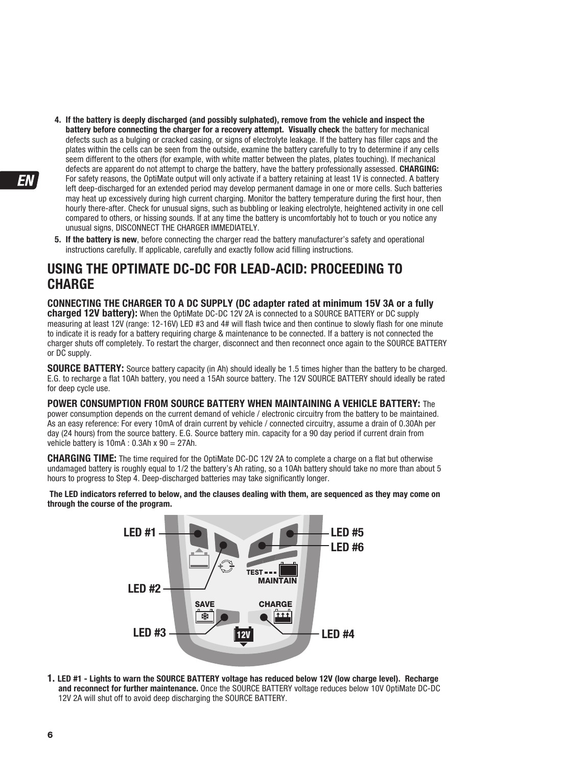- **4. If the battery is deeply discharged (and possibly sulphated), remove from the vehicle and inspect the battery before connecting the charger for a recovery attempt. Visually check** the battery for mechanical defects such as a bulging or cracked casing, or signs of electrolyte leakage. If the battery has filler caps and the plates within the cells can be seen from the outside, examine the battery carefully to try to determine if any cells seem different to the others (for example, with white matter between the plates, plates touching). If mechanical defects are apparent do not attempt to charge the battery, have the battery professionally assessed. **CHARGING:** For safety reasons, the OptiMate output will only activate if a battery retaining at least 1V is connected. A battery left deep-discharged for an extended period may develop permanent damage in one or more cells. Such batteries may heat up excessively during high current charging. Monitor the battery temperature during the first hour, then hourly there-after. Check for unusual signs, such as bubbling or leaking electrolyte, heightened activity in one cell compared to others, or hissing sounds. If at any time the battery is uncomfortably hot to touch or you notice any unusual signs, DISCONNECT THE CHARGER IMMEDIATELY.
- **5. If the battery is new**, before connecting the charger read the battery manufacturer's safety and operational instructions carefully. If applicable, carefully and exactly follow acid filling instructions.

# **USING THE OPTIMATE DC-DC FOR LEAD-ACID: PROCEEDING TO CHARGE**

**CONNECTING THE CHARGER TO A DC SUPPLY (DC adapter rated at minimum 15V 3A or a fully charged 12V battery):** When the OptiMate DC-DC 12V 2A is connected to a SOURCE BATTERY or DC supply measuring at least 12V (range: 12-16V) LED #3 and 4# will flash twice and then continue to slowly flash for one minute to indicate it is ready for a battery requiring charge & maintenance to be connected. If a battery is not connected the charger shuts off completely. To restart the charger, disconnect and then reconnect once again to the SOURCE BATTERY or DC supply.

**SOURCE BATTERY:** Source battery capacity (in Ah) should ideally be 1.5 times higher than the battery to be charged. E.G. to recharge a flat 10Ah battery, you need a 15Ah source battery. The 12V SOURCE BATTERY should ideally be rated for deep cycle use.

**POWER CONSUMPTION FROM SOURCE BATTERY WHEN MAINTAINING A VEHICLE BATTERY:** The power consumption depends on the current demand of vehicle / electronic circuitry from the battery to be maintained. As an easy reference: For every 10mA of drain current by vehicle / connected circuitry, assume a drain of 0.30Ah per day (24 hours) from the source battery. E.G. Source battery min. capacity for a 90 day period if current drain from vehicle battery is  $10mA : 0.3Ah \times 90 = 27Ah$ .

**CHARGING TIME:** The time required for the OptiMate DC-DC 12V 2A to complete a charge on a flat but otherwise undamaged battery is roughly equal to 1/2 the battery's Ah rating, so a 10Ah battery should take no more than about 5 hours to progress to Step 4. Deep-discharged batteries may take significantly longer.

**The LED indicators referred to below, and the clauses dealing with them, are sequenced as they may come on through the course of the program.** 



**1. LED #1 - Lights to warn the SOURCE BATTERY voltage has reduced below 12V (low charge level). Recharge and reconnect for further maintenance.** Once the SOURCE BATTERY voltage reduces below 10V OptiMate DC-DC 12V 2A will shut off to avoid deep discharging the SOURCE BATTERY.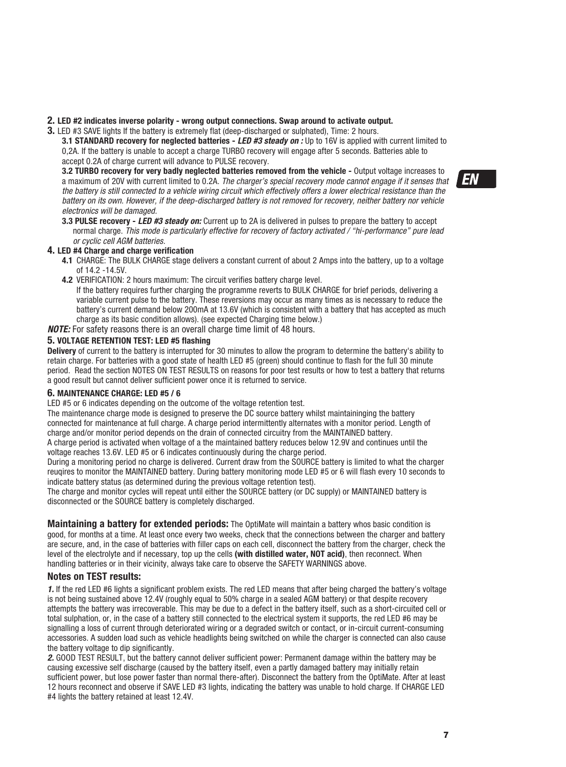### **2. LED #2 indicates inverse polarity - wrong output connections. Swap around to activate output.**

**3.** LED #3 SAVE lights If the battery is extremely flat (deep-discharged or sulphated), Time: 2 hours.

**3.1 STANDARD recovery for neglected batteries -** LED #3 steady on : Up to 16V is applied with current limited to 0.2A. If the battery is unable to accept a charge TURBO recovery will engage after 5 seconds. Batteries able to accept 0.2A of charge current will advance to PULSE recovery.

**3.2 TURBO recovery for very badly neglected batteries removed from the vehicle -** Output voltage increases to a maximum of 20V with current limited to 0.2A. The charger's special recovery mode cannot engage if it senses that the battery is still connected to a vehicle wiring circuit which effectively offers a lower electrical resistance than the battery on its own. However, if the deep-discharged battery is not removed for recovery, neither battery nor vehicle electronics will be damaged.

**3.3 PULSE recovery - LED #3 steady on:** Current up to 2A is delivered in pulses to prepare the battery to accept normal charge. This mode is particularly effective for recovery of factory activated / "hi-performance" pure lead or cyclic cell AGM batteries.

#### **4. LED #4 Charge and charge verification**

- **4.1** CHARGE: The BULK CHARGE stage delivers a constant current of about 2 Amps into the battery, up to a voltage of 14.2 -14.5V.
- **4.2** VERIFICATION: 2 hours maximum: The circuit verifies battery charge level.

If the battery requires further charging the programme reverts to BULK CHARGE for brief periods, delivering a variable current pulse to the battery. These reversions may occur as many times as is necessary to reduce the battery's current demand below 200mA at 13.6V (which is consistent with a battery that has accepted as much charge as its basic condition allows). (see expected Charging time below.)

**NOTE:** For safety reasons there is an overall charge time limit of 48 hours.

### **5. VOLTAGE RETENTION TEST: LED #5 flashing**

**Delivery** of current to the battery is interrupted for 30 minutes to allow the program to determine the battery's ability to retain charge. For batteries with a good state of health LED #5 (green) should continue to flash for the full 30 minute period. Read the section NOTES ON TEST RESULTS on reasons for poor test results or how to test a battery that returns a good result but cannot deliver sufficient power once it is returned to service.

### **6. MAINTENANCE CHARGE: LED #5 / 6**

LED #5 or 6 indicates depending on the outcome of the voltage retention test.

The maintenance charge mode is designed to preserve the DC source battery whilst maintaininging the battery connected for maintenance at full charge. A charge period intermittently alternates with a monitor period. Length of charge and/or monitor period depends on the drain of connected circuitry from the MAINTAINED battery.

A charge period is activated when voltage of a the maintained battery reduces below 12.9V and continues until the voltage reaches 13.6V. LED #5 or 6 indicates continuously during the charge period.

During a monitoring period no charge is delivered. Current draw from the SOURCE battery is limited to what the charger reugires to monitor the MAINTAINED battery. During battery monitoring mode LED #5 or 6 will flash every 10 seconds to indicate battery status (as determined during the previous voltage retention test).

The charge and monitor cycles will repeat until either the SOURCE battery (or DC supply) or MAINTAINED battery is disconnected or the SOURCE battery is completely discharged.

**Maintaining a battery for extended periods:** The OptiMate will maintain a battery whos basic condition is good, for months at a time. At least once every two weeks, check that the connections between the charger and battery are secure, and, in the case of batteries with filler caps on each cell, disconnect the battery from the charger, check the level of the electrolyte and if necessary, top up the cells **(with distilled water, NOT acid)**, then reconnect. When handling batteries or in their vicinity, always take care to observe the SAFETY WARNINGS above.

### **Notes on TEST results:**

1. If the red LED #6 lights a significant problem exists. The red LED means that after being charged the battery's voltage is not being sustained above 12.4V (roughly equal to 50% charge in a sealed AGM battery) or that despite recovery attempts the battery was irrecoverable. This may be due to a defect in the battery itself, such as a short-circuited cell or total sulphation, or, in the case of a battery still connected to the electrical system it supports, the red LED #6 may be signalling a loss of current through deteriorated wiring or a degraded switch or contact, or in-circuit current-consuming accessories. A sudden load such as vehicle headlights being switched on while the charger is connected can also cause the battery voltage to dip significantly.

2. GOOD TEST RESULT, but the battery cannot deliver sufficient power: Permanent damage within the battery may be causing excessive self discharge (caused by the battery itself, even a partly damaged battery may initially retain sufficient power, but lose power faster than normal there-after). Disconnect the battery from the OptiMate. After at least 12 hours reconnect and observe if SAVE LED #3 lights, indicating the battery was unable to hold charge. If CHARGE LED #4 lights the battery retained at least 12.4V.

**FN**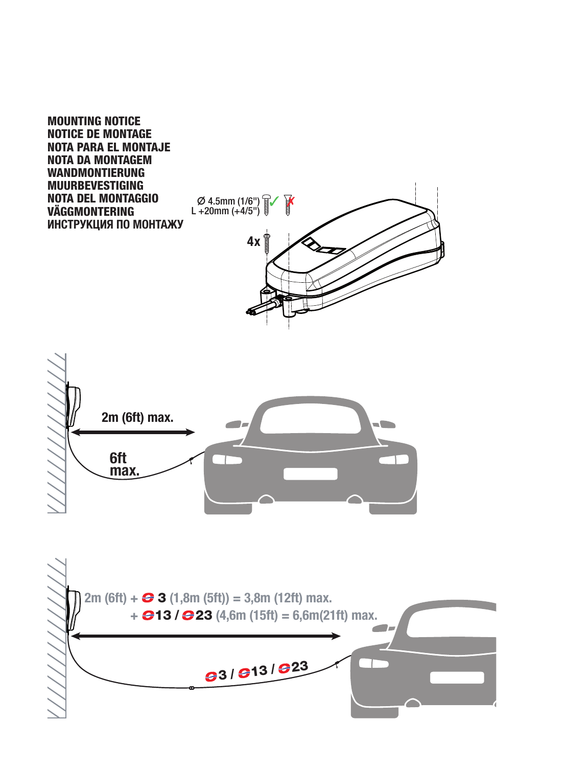**MOUNTING NOTICE NOTICE DE MONTAGE NOTA PARA EL MONTAJE NOTA DA MONTAGEM WANDMONTIERUNG MUURBEVESTIGING NOTA DEL MONTAGGIO VÄGGMONTERING ИНСТРУКЦИЯ ПО МОНТАЖУ**